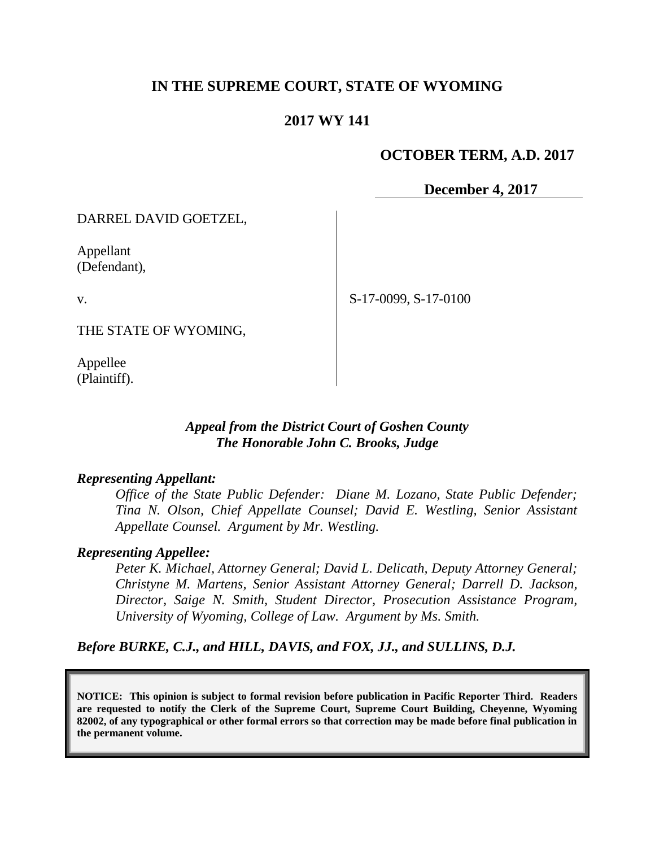# **IN THE SUPREME COURT, STATE OF WYOMING**

## **2017 WY 141**

## **OCTOBER TERM, A.D. 2017**

**December 4, 2017**

DARREL DAVID GOETZEL,

Appellant (Defendant),

v.

THE STATE OF WYOMING,

Appellee (Plaintiff). S-17-0099, S-17-0100

*Appeal from the District Court of Goshen County The Honorable John C. Brooks, Judge*

#### *Representing Appellant:*

*Office of the State Public Defender: Diane M. Lozano, State Public Defender; Tina N. Olson, Chief Appellate Counsel; David E. Westling, Senior Assistant Appellate Counsel. Argument by Mr. Westling.*

#### *Representing Appellee:*

*Peter K. Michael, Attorney General; David L. Delicath, Deputy Attorney General; Christyne M. Martens, Senior Assistant Attorney General; Darrell D. Jackson, Director, Saige N. Smith, Student Director, Prosecution Assistance Program, University of Wyoming, College of Law. Argument by Ms. Smith.*

*Before BURKE, C.J., and HILL, DAVIS, and FOX, JJ., and SULLINS, D.J.*

**NOTICE: This opinion is subject to formal revision before publication in Pacific Reporter Third. Readers are requested to notify the Clerk of the Supreme Court, Supreme Court Building, Cheyenne, Wyoming 82002, of any typographical or other formal errors so that correction may be made before final publication in the permanent volume.**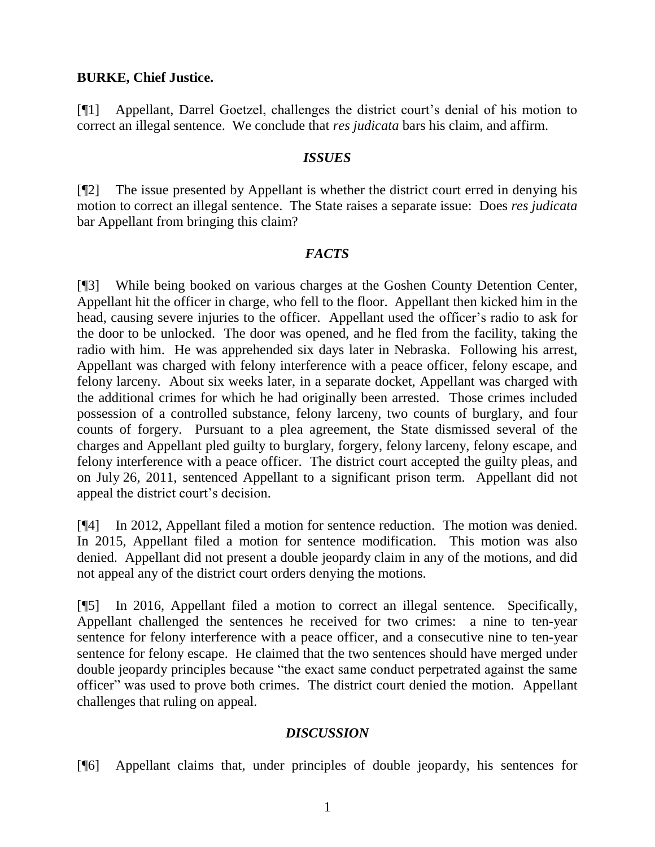### **BURKE, Chief Justice.**

[¶1] Appellant, Darrel Goetzel, challenges the district court's denial of his motion to correct an illegal sentence. We conclude that *res judicata* bars his claim, and affirm.

### *ISSUES*

[¶2] The issue presented by Appellant is whether the district court erred in denying his motion to correct an illegal sentence. The State raises a separate issue: Does *res judicata* bar Appellant from bringing this claim?

### *FACTS*

[¶3] While being booked on various charges at the Goshen County Detention Center, Appellant hit the officer in charge, who fell to the floor. Appellant then kicked him in the head, causing severe injuries to the officer. Appellant used the officer's radio to ask for the door to be unlocked. The door was opened, and he fled from the facility, taking the radio with him. He was apprehended six days later in Nebraska. Following his arrest, Appellant was charged with felony interference with a peace officer, felony escape, and felony larceny. About six weeks later, in a separate docket, Appellant was charged with the additional crimes for which he had originally been arrested. Those crimes included possession of a controlled substance, felony larceny, two counts of burglary, and four counts of forgery. Pursuant to a plea agreement, the State dismissed several of the charges and Appellant pled guilty to burglary, forgery, felony larceny, felony escape, and felony interference with a peace officer. The district court accepted the guilty pleas, and on July 26, 2011, sentenced Appellant to a significant prison term. Appellant did not appeal the district court's decision.

[¶4] In 2012, Appellant filed a motion for sentence reduction. The motion was denied. In 2015, Appellant filed a motion for sentence modification. This motion was also denied. Appellant did not present a double jeopardy claim in any of the motions, and did not appeal any of the district court orders denying the motions.

[¶5] In 2016, Appellant filed a motion to correct an illegal sentence. Specifically, Appellant challenged the sentences he received for two crimes: a nine to ten-year sentence for felony interference with a peace officer, and a consecutive nine to ten-year sentence for felony escape. He claimed that the two sentences should have merged under double jeopardy principles because "the exact same conduct perpetrated against the same officer" was used to prove both crimes. The district court denied the motion. Appellant challenges that ruling on appeal.

# *DISCUSSION*

[¶6] Appellant claims that, under principles of double jeopardy, his sentences for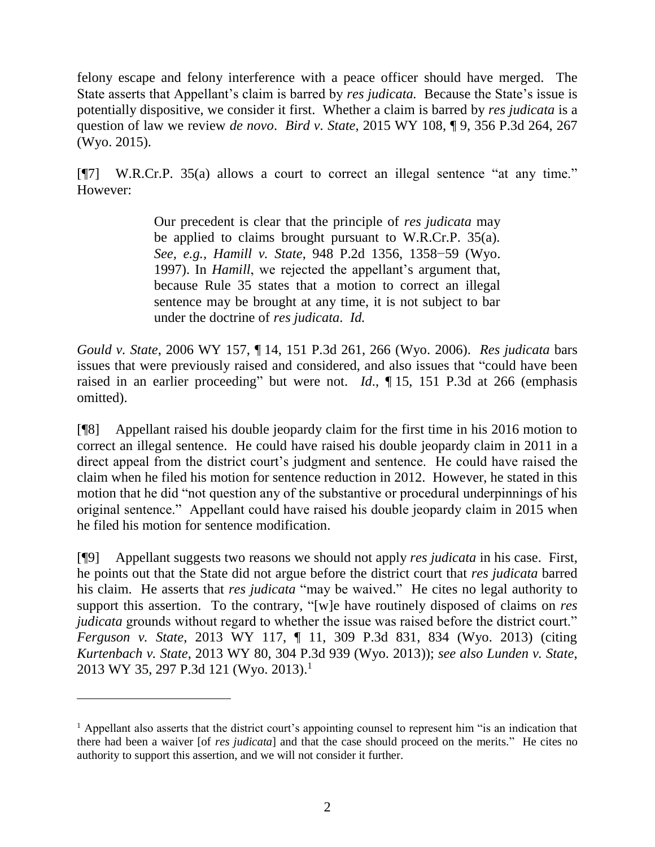felony escape and felony interference with a peace officer should have merged. The State asserts that Appellant's claim is barred by *res judicata.* Because the State's issue is potentially dispositive, we consider it first. Whether a claim is barred by *res judicata* is a question of law we review *de novo*. *Bird v. State*, 2015 WY 108, ¶ 9, 356 P.3d 264, 267 (Wyo. 2015).

[¶7] W.R.Cr.P. 35(a) allows a court to correct an illegal sentence "at any time." However:

> Our precedent is clear that the principle of *res judicata* may be applied to claims brought pursuant to W.R.Cr.P. 35(a). *See, e.g., Hamill v. State*, 948 P.2d 1356, 1358−59 (Wyo. 1997). In *Hamill*, we rejected the appellant's argument that, because Rule 35 states that a motion to correct an illegal sentence may be brought at any time, it is not subject to bar under the doctrine of *res judicata*. *Id.*

*Gould v. State*, 2006 WY 157, ¶ 14, 151 P.3d 261, 266 (Wyo. 2006). *Res judicata* bars issues that were previously raised and considered, and also issues that "could have been raised in an earlier proceeding" but were not. *Id*., ¶ 15, 151 P.3d at 266 (emphasis omitted).

[¶8] Appellant raised his double jeopardy claim for the first time in his 2016 motion to correct an illegal sentence. He could have raised his double jeopardy claim in 2011 in a direct appeal from the district court's judgment and sentence. He could have raised the claim when he filed his motion for sentence reduction in 2012. However, he stated in this motion that he did "not question any of the substantive or procedural underpinnings of his original sentence." Appellant could have raised his double jeopardy claim in 2015 when he filed his motion for sentence modification.

[¶9] Appellant suggests two reasons we should not apply *res judicata* in his case. First, he points out that the State did not argue before the district court that *res judicata* barred his claim. He asserts that *res judicata* "may be waived." He cites no legal authority to support this assertion. To the contrary, "[w]e have routinely disposed of claims on *res judicata* grounds without regard to whether the issue was raised before the district court." *Ferguson v. State*, 2013 WY 117, ¶ 11, 309 P.3d 831, 834 (Wyo. 2013) (citing *Kurtenbach v. State*, 2013 WY 80, 304 P.3d 939 (Wyo. 2013)); *see also Lunden v. State*, 2013 WY 35, 297 P.3d 121 (Wyo. 2013). 1

 $\overline{a}$ 

<sup>1</sup> Appellant also asserts that the district court's appointing counsel to represent him "is an indication that there had been a waiver [of *res judicata*] and that the case should proceed on the merits." He cites no authority to support this assertion, and we will not consider it further.